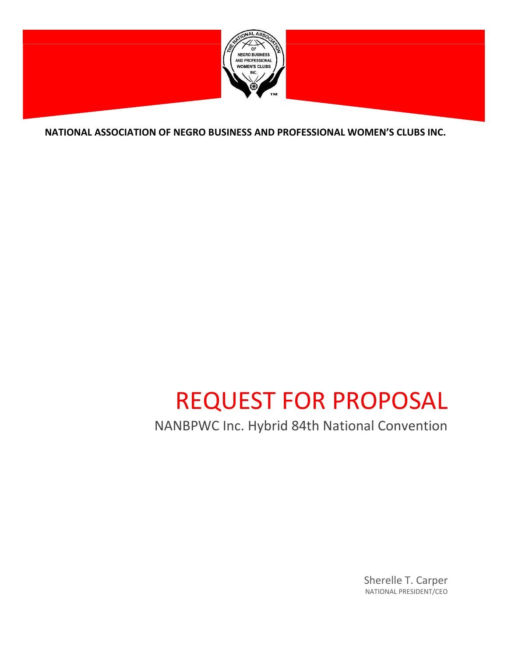

**NATIONAL ASSOCIATION OF NEGRO BUSINESS AND PROFESSIONAL WOMEN'S CLUBS INC.**

# REQUEST FOR PROPOSAL

NANBPWC Inc. Hybrid 84th National Convention

Sherelle T. Carper NATIONAL PRESIDENT/CEO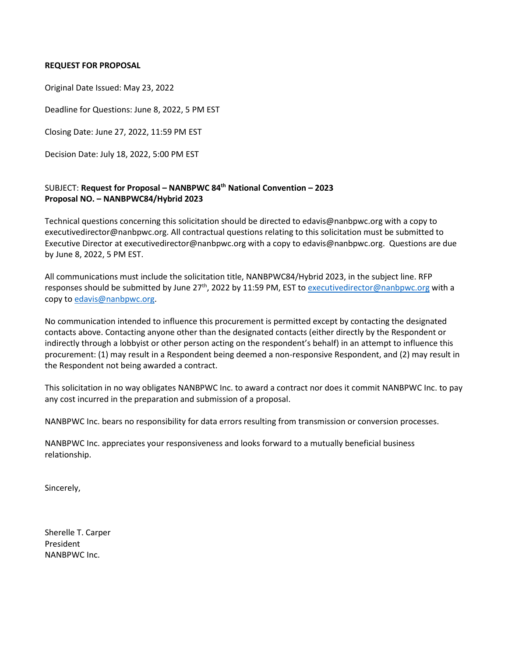#### **REQUEST FOR PROPOSAL**

Original Date Issued: May 23, 2022

Deadline for Questions: June 8, 2022, 5 PM EST

Closing Date: June 27, 2022, 11:59 PM EST

Decision Date: July 18, 2022, 5:00 PM EST

# SUBJECT: **Request for Proposal – NANBPWC 84th National Convention – 2023 Proposal NO. – NANBPWC84/Hybrid 2023**

Technical questions concerning this solicitation should be directed to edavis@nanbpwc.org with a copy to executivedirector@nanbpwc.org. All contractual questions relating to this solicitation must be submitted to Executive Director at executivedirector@nanbpwc.org with a copy to edavis@nanbpwc.org. Questions are due by June 8, 2022, 5 PM EST.

All communications must include the solicitation title, NANBPWC84/Hybrid 2023, in the subject line. RFP responses should be submitted by June 27<sup>th</sup>, 2022 by 11:59 PM, EST to [executivedirector@nanbpwc.org](mailto:executivedirector@nanbpwc.org) with a copy t[o edavis@nanbpwc.org.](mailto:edavis@nanbpwc.org)

No communication intended to influence this procurement is permitted except by contacting the designated contacts above. Contacting anyone other than the designated contacts (either directly by the Respondent or indirectly through a lobbyist or other person acting on the respondent's behalf) in an attempt to influence this procurement: (1) may result in a Respondent being deemed a non-responsive Respondent, and (2) may result in the Respondent not being awarded a contract.

This solicitation in no way obligates NANBPWC Inc. to award a contract nor does it commit NANBPWC Inc. to pay any cost incurred in the preparation and submission of a proposal.

NANBPWC Inc. bears no responsibility for data errors resulting from transmission or conversion processes.

NANBPWC Inc. appreciates your responsiveness and looks forward to a mutually beneficial business relationship.

Sincerely,

Sherelle T. Carper President NANBPWC Inc.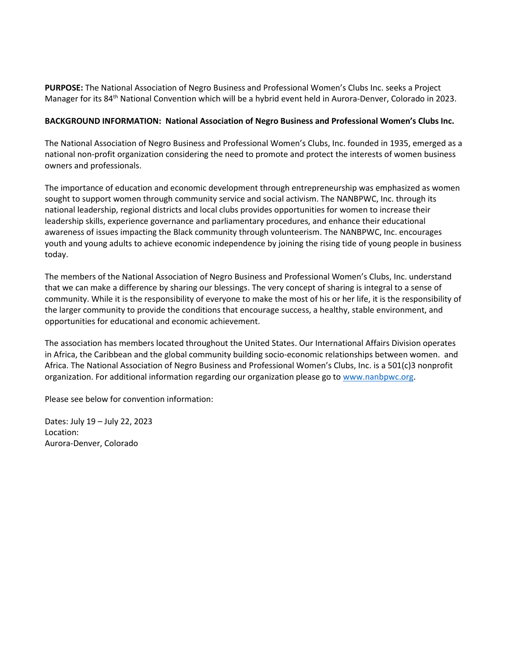**PURPOSE:** The National Association of Negro Business and Professional Women's Clubs Inc. seeks a Project Manager for its 84th National Convention which will be a hybrid event held in Aurora-Denver, Colorado in 2023.

## **BACKGROUND INFORMATION: National Association of Negro Business and Professional Women's Clubs Inc.**

The National Association of Negro Business and Professional Women's Clubs, Inc. founded in 1935, emerged as a national non-profit organization considering the need to promote and protect the interests of women business owners and professionals.

The importance of education and economic development through entrepreneurship was emphasized as women sought to support women through community service and social activism. The NANBPWC, Inc. through its national leadership, regional districts and local clubs provides opportunities for women to increase their leadership skills, experience governance and parliamentary procedures, and enhance their educational awareness of issues impacting the Black community through volunteerism. The NANBPWC, Inc. encourages youth and young adults to achieve economic independence by joining the rising tide of young people in business today.

The members of the National Association of Negro Business and Professional Women's Clubs, Inc. understand that we can make a difference by sharing our blessings. The very concept of sharing is integral to a sense of community. While it is the responsibility of everyone to make the most of his or her life, it is the responsibility of the larger community to provide the conditions that encourage success, a healthy, stable environment, and opportunities for educational and economic achievement.

The association has members located throughout the United States. Our International Affairs Division operates in Africa, the Caribbean and the global community building socio-economic relationships between women. and Africa. The National Association of Negro Business and Professional Women's Clubs, Inc. is a 501(c)3 nonprofit organization. For additional information regarding our organization please go t[o www.nanbpwc.org.](http://www.nanbpwc.org/)

Please see below for convention information:

Dates: July 19 – July 22, 2023 Location: Aurora-Denver, Colorado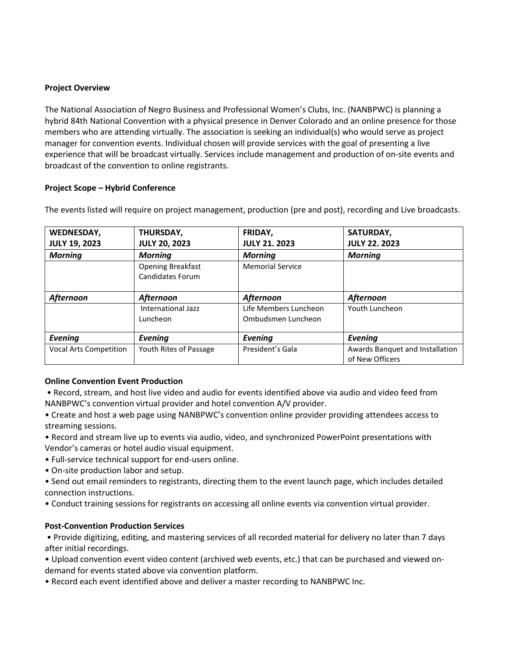## **Project Overview**

The National Association of Negro Business and Professional Women's Clubs, Inc. (NANBPWC) is planning a hybrid 84th National Convention with a physical presence in Denver Colorado and an online presence for those members who are attending virtually. The association is seeking an individual(s) who would serve as project manager for convention events. Individual chosen will provide services with the goal of presenting a live experience that will be broadcast virtually. Services include management and production of on-site events and broadcast of the convention to online registrants.

#### **Project Scope – Hybrid Conference**

| <b>WEDNESDAY,</b>             | THURSDAY,                | FRIDAY,                 | SATURDAY,                       |
|-------------------------------|--------------------------|-------------------------|---------------------------------|
| <b>JULY 19, 2023</b>          | <b>JULY 20, 2023</b>     | <b>JULY 21. 2023</b>    | <b>JULY 22, 2023</b>            |
| <b>Morning</b>                | <b>Morning</b>           | <b>Morning</b>          | <b>Morning</b>                  |
|                               | <b>Opening Breakfast</b> | <b>Memorial Service</b> |                                 |
|                               | <b>Candidates Forum</b>  |                         |                                 |
| <b>Afternoon</b>              | Afternoon                | Afternoon               | <b>Afternoon</b>                |
|                               | International Jazz       | Life Members Luncheon   | Youth Luncheon                  |
|                               | Luncheon                 | Ombudsmen Luncheon      |                                 |
| Evening                       | Evening                  | <b>Evening</b>          | Evening                         |
| <b>Vocal Arts Competition</b> | Youth Rites of Passage   | President's Gala        | Awards Banquet and Installation |
|                               |                          |                         | of New Officers                 |

The events listed will require on project management, production (pre and post), recording and Live broadcasts.

## **Online Convention Event Production**

- Record, stream, and host live video and audio for events identified above via audio and video feed from NANBPWC's convention virtual provider and hotel convention A/V provider.
- Create and host a web page using NANBPWC's convention online provider providing attendees access to streaming sessions.
- Record and stream live up to events via audio, video, and synchronized PowerPoint presentations with Vendor's cameras or hotel audio visual equipment.
- Full-service technical support for end-users online.
- On-site production labor and setup.
- Send out email reminders to registrants, directing them to the event launch page, which includes detailed connection instructions.
- Conduct training sessions for registrants on accessing all online events via convention virtual provider.

## **Post-Convention Production Services**

• Provide digitizing, editing, and mastering services of all recorded material for delivery no later than 7 days after initial recordings.

- Upload convention event video content (archived web events, etc.) that can be purchased and viewed ondemand for events stated above via convention platform.
- Record each event identified above and deliver a master recording to NANBPWC Inc.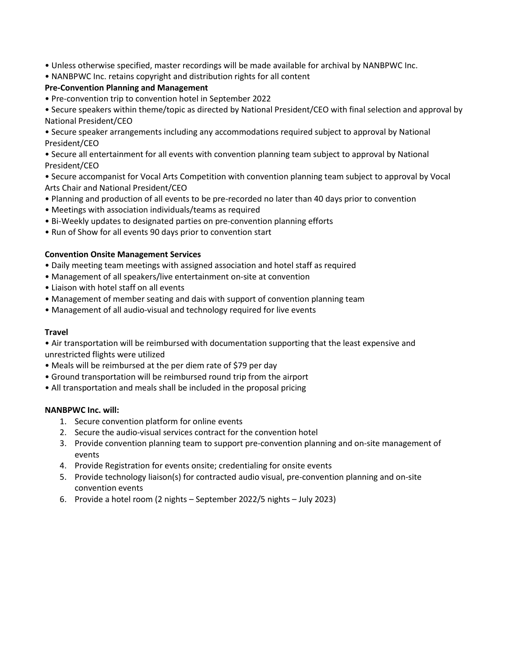- Unless otherwise specified, master recordings will be made available for archival by NANBPWC Inc.
- NANBPWC Inc. retains copyright and distribution rights for all content

# **Pre-Convention Planning and Management**

• Pre-convention trip to convention hotel in September 2022

• Secure speakers within theme/topic as directed by National President/CEO with final selection and approval by National President/CEO

• Secure speaker arrangements including any accommodations required subject to approval by National President/CEO

• Secure all entertainment for all events with convention planning team subject to approval by National President/CEO

• Secure accompanist for Vocal Arts Competition with convention planning team subject to approval by Vocal Arts Chair and National President/CEO

- Planning and production of all events to be pre-recorded no later than 40 days prior to convention
- Meetings with association individuals/teams as required
- Bi-Weekly updates to designated parties on pre-convention planning efforts
- Run of Show for all events 90 days prior to convention start

# **Convention Onsite Management Services**

- Daily meeting team meetings with assigned association and hotel staff as required
- Management of all speakers/live entertainment on-site at convention
- Liaison with hotel staff on all events
- Management of member seating and dais with support of convention planning team
- Management of all audio-visual and technology required for live events

## **Travel**

• Air transportation will be reimbursed with documentation supporting that the least expensive and unrestricted flights were utilized

- Meals will be reimbursed at the per diem rate of \$79 per day
- Ground transportation will be reimbursed round trip from the airport
- All transportation and meals shall be included in the proposal pricing

## **NANBPWC Inc. will:**

- 1. Secure convention platform for online events
- 2. Secure the audio-visual services contract for the convention hotel
- 3. Provide convention planning team to support pre-convention planning and on-site management of events
- 4. Provide Registration for events onsite; credentialing for onsite events
- 5. Provide technology liaison(s) for contracted audio visual, pre-convention planning and on-site convention events
- 6. Provide a hotel room (2 nights September 2022/5 nights July 2023)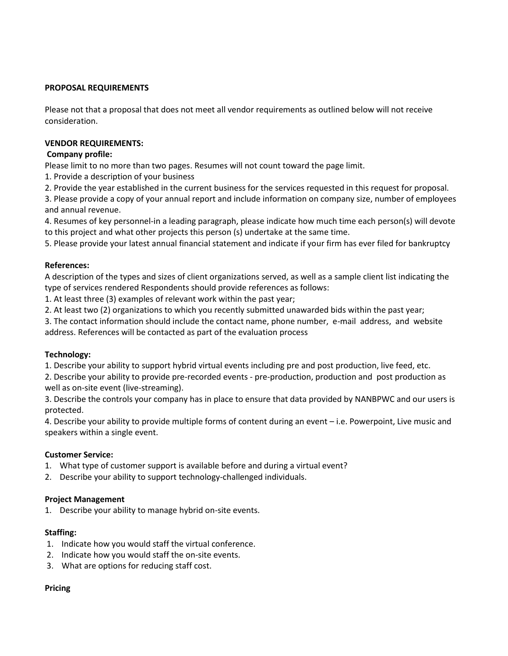#### **PROPOSAL REQUIREMENTS**

Please not that a proposal that does not meet all vendor requirements as outlined below will not receive consideration.

#### **VENDOR REQUIREMENTS:**

#### **Company profile:**

Please limit to no more than two pages. Resumes will not count toward the page limit.

- 1. Provide a description of your business
- 2. Provide the year established in the current business for the services requested in this request for proposal.

3. Please provide a copy of your annual report and include information on company size, number of employees and annual revenue.

4. Resumes of key personnel-in a leading paragraph, please indicate how much time each person(s) will devote to this project and what other projects this person (s) undertake at the same time.

5. Please provide your latest annual financial statement and indicate if your firm has ever filed for bankruptcy

#### **References:**

A description of the types and sizes of client organizations served, as well as a sample client list indicating the type of services rendered Respondents should provide references as follows:

1. At least three (3) examples of relevant work within the past year;

2. At least two (2) organizations to which you recently submitted unawarded bids within the past year;

3. The contact information should include the contact name, phone number, e-mail address, and website address. References will be contacted as part of the evaluation process

## **Technology:**

1. Describe your ability to support hybrid virtual events including pre and post production, live feed, etc.

2. Describe your ability to provide pre-recorded events - pre-production, production and post production as well as on-site event (live-streaming).

3. Describe the controls your company has in place to ensure that data provided by NANBPWC and our users is protected.

4. Describe your ability to provide multiple forms of content during an event – i.e. Powerpoint, Live music and speakers within a single event.

## **Customer Service:**

- 1. What type of customer support is available before and during a virtual event?
- 2. Describe your ability to support technology-challenged individuals.

## **Project Management**

1. Describe your ability to manage hybrid on-site events.

## **Staffing:**

- 1. Indicate how you would staff the virtual conference.
- 2. Indicate how you would staff the on-site events.
- 3. What are options for reducing staff cost.

#### **Pricing**